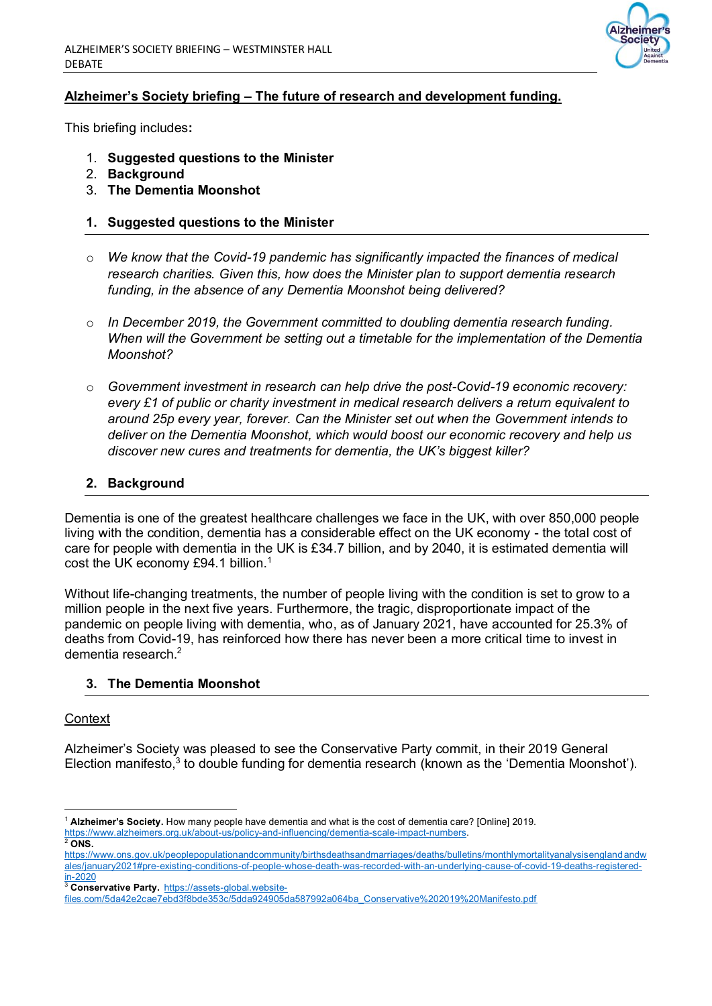

# **Alzheimer's Society briefing – The future of research and development funding.**

This briefing includes**:**

- 1. **Suggested questions to the Minister**
- 2. **Background**
- 3. **The Dementia Moonshot**

## **1. Suggested questions to the Minister**

- o *We know that the Covid-19 pandemic has significantly impacted the finances of medical research charities. Given this, how does the Minister plan to support dementia research funding, in the absence of any Dementia Moonshot being delivered?*
- o *In December 2019, the Government committed to doubling dementia research funding. When will the Government be setting out a timetable for the implementation of the Dementia Moonshot?*
- o *Government investment in research can help drive the post-Covid-19 economic recovery: every £1 of public or charity investment in medical research delivers a return equivalent to around 25p every year, forever. Can the Minister set out when the Government intends to deliver on the Dementia Moonshot, which would boost our economic recovery and help us discover new cures and treatments for dementia, the UK's biggest killer?*

# **2. Background**

Dementia is one of the greatest healthcare challenges we face in the UK, with over 850,000 people living with the condition, dementia has a considerable effect on the UK economy - the total cost of care for people with dementia in the UK is £34.7 billion, and by 2040, it is estimated dementia will cost the UK economy  $£94.1$  billion.<sup>1</sup>

Without life-changing treatments, the number of people living with the condition is set to grow to a million people in the next five years. Furthermore, the tragic, disproportionate impact of the pandemic on people living with dementia, who, as of January 2021, have accounted for 25.3% of deaths from Covid-19, has reinforced how there has never been a more critical time to invest in dementia research. 2

# **3. The Dementia Moonshot**

#### **Context**

Alzheimer's Society was pleased to see the Conservative Party commit, in their 2019 General Election manifesto, $3$  to double funding for dementia research (known as the 'Dementia Moonshot').

1

<sup>1</sup> **Alzheimer's Society.** How many people have dementia and what is the cost of dementia care? [Online] 2019. [https://www.alzheimers.org.uk/about-us/policy-and-influencing/dementia-scale-impact-numbers.](https://www.alzheimers.org.uk/about-us/policy-and-influencing/dementia-scale-impact-numbers)

<sup>2</sup> **ONS.** 

[https://www.ons.gov.uk/peoplepopulationandcommunity/birthsdeathsandmarriages/deaths/bulletins/monthlymortalityanalysisenglandandw](https://www.ons.gov.uk/peoplepopulationandcommunity/birthsdeathsandmarriages/deaths/bulletins/monthlymortalityanalysisenglandandwales/january2021#pre-existing-conditions-of-people-whose-death-was-recorded-with-an-underlying-cause-of-covid-19-deaths-registered-in-2020) [ales/january2021#pre-existing-conditions-of-people-whose-death-was-recorded-with-an-underlying-cause-of-covid-19-deaths-registered](https://www.ons.gov.uk/peoplepopulationandcommunity/birthsdeathsandmarriages/deaths/bulletins/monthlymortalityanalysisenglandandwales/january2021#pre-existing-conditions-of-people-whose-death-was-recorded-with-an-underlying-cause-of-covid-19-deaths-registered-in-2020)[in-2020](https://www.ons.gov.uk/peoplepopulationandcommunity/birthsdeathsandmarriages/deaths/bulletins/monthlymortalityanalysisenglandandwales/january2021#pre-existing-conditions-of-people-whose-death-was-recorded-with-an-underlying-cause-of-covid-19-deaths-registered-in-2020)

<sup>3</sup> **Conservative Party.** [https://assets-global.website-](https://assets-global.website-files.com/5da42e2cae7ebd3f8bde353c/5dda924905da587992a064ba_Conservative%202019%20Manifesto.pdf)

[files.com/5da42e2cae7ebd3f8bde353c/5dda924905da587992a064ba\\_Conservative%202019%20Manifesto.pdf](https://assets-global.website-files.com/5da42e2cae7ebd3f8bde353c/5dda924905da587992a064ba_Conservative%202019%20Manifesto.pdf)